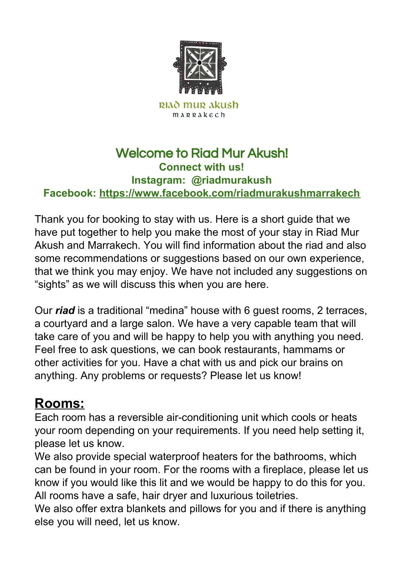

## Welcome to Riad Mur Akush! **Connect with us! Instagram: @riadmurakush Facebook: <https://www.facebook.com/riadmurakushmarrakech>**

Thank you for booking to stay with us. Here is a short guide that we have put together to help you make the most of your stay in Riad Mur Akush and Marrakech. You will find information about the riad and also some recommendations or suggestions based on our own experience, that we think you may enjoy. We have not included any suggestions on "sights" as we will discuss this when you are here.

Our *riad* is a traditional "medina" house with 6 guest rooms, 2 terraces, a courtyard and a large salon. We have a very capable team that will take care of you and will be happy to help you with anything you need. Feel free to ask questions, we can book restaurants, hammams or other activities for you. Have a chat with us and pick our brains on anything. Any problems or requests? Please let us know!

## **Rooms:**

Each room has a reversible air-conditioning unit which cools or heats your room depending on your requirements. If you need help setting it, please let us know.

We also provide special waterproof heaters for the bathrooms, which can be found in your room. For the rooms with a fireplace, please let us know if you would like this lit and we would be happy to do this for you. All rooms have a safe, hair dryer and luxurious toiletries.

We also offer extra blankets and pillows for you and if there is anything else you will need, let us know.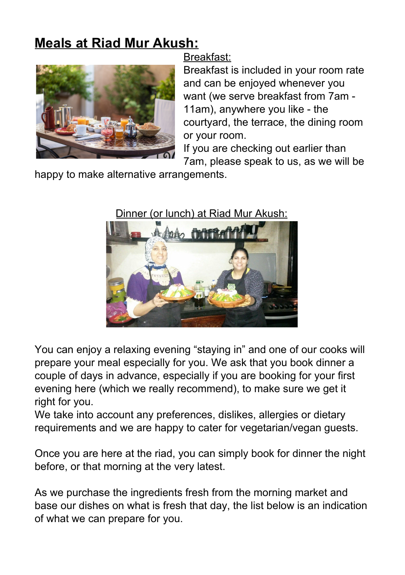## **Meals at Riad Mur Akush:**



#### Breakfast:

Breakfast is included in your room rate and can be enjoyed whenever you want (we serve breakfast from 7am - 11am), anywhere you like - the courtyard, the terrace, the dining room or your room.

If you are checking out earlier than 7am, please speak to us, as we will be

happy to make alternative arrangements.

### Dinner (or lunch) at Riad Mur Akush:



You can enjoy a relaxing evening "staying in" and one of our cooks will prepare your meal especially for you. We ask that you book dinner a couple of days in advance, especially if you are booking for your first evening here (which we really recommend), to make sure we get it right for you.

We take into account any preferences, dislikes, allergies or dietary requirements and we are happy to cater for vegetarian/vegan guests.

Once you are here at the riad, you can simply book for dinner the night before, or that morning at the very latest.

As we purchase the ingredients fresh from the morning market and base our dishes on what is fresh that day, the list below is an indication of what we can prepare for you.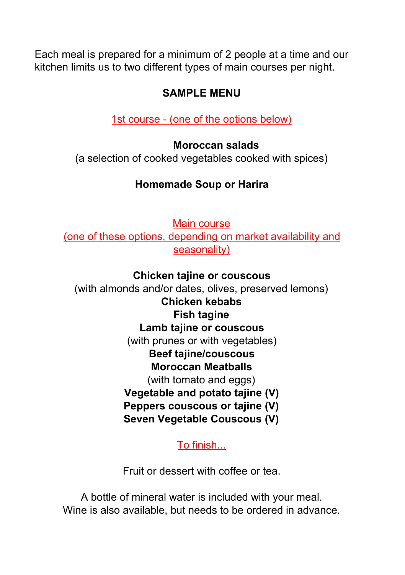Each meal is prepared for a minimum of 2 people at a time and our kitchen limits us to two different types of main courses per night.

## **SAMPLE MENU**

1st course - (one of the options below)

#### **Moroccan salads**

(a selection of cooked vegetables cooked with spices)

## **Homemade Soup or Harira**

Main course

(one of these options, depending on market availability and seasonality)

### **Chicken tajine or couscous**

(with almonds and/or dates, olives, preserved lemons) **Chicken kebabs Fish tagine Lamb tajine or couscous** (with prunes or with vegetables) **Beef tajine/couscous Moroccan Meatballs** (with tomato and eggs) **Vegetable and potato tajine (V) Peppers couscous or tajine (V) Seven Vegetable Couscous (V)**

To finish...

Fruit or dessert with coffee or tea.

A bottle of mineral water is included with your meal. Wine is also available, but needs to be ordered in advance.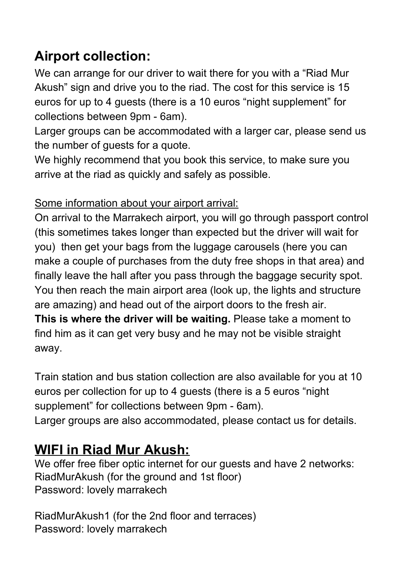## **Airport collection:**

We can arrange for our driver to wait there for you with a "Riad Mur Akush" sign and drive you to the riad. The cost for this service is 15 euros for up to 4 guests (there is a 10 euros "night supplement" for collections between 9pm - 6am).

Larger groups can be accommodated with a larger car, please send us the number of guests for a quote.

We highly recommend that you book this service, to make sure you arrive at the riad as quickly and safely as possible.

### Some information about your airport arrival:

On arrival to the Marrakech airport, you will go through passport control (this sometimes takes longer than expected but the driver will wait for you) then get your bags from the luggage carousels (here you can make a couple of purchases from the duty free shops in that area) and finally leave the hall after you pass through the baggage security spot. You then reach the main airport area (look up, the lights and structure are amazing) and head out of the airport doors to the fresh air. **This is where the driver will be waiting.** Please take a moment to find him as it can get very busy and he may not be visible straight

away.

Train station and bus station collection are also available for you at 10 euros per collection for up to 4 guests (there is a 5 euros "night supplement" for collections between 9pm - 6am). Larger groups are also accommodated, please contact us for details.

## **WIFI in Riad Mur Akush:**

We offer free fiber optic internet for our guests and have 2 networks: RiadMurAkush (for the ground and 1st floor) Password: lovely marrakech

RiadMurAkush1 (for the 2nd floor and terraces) Password: lovely marrakech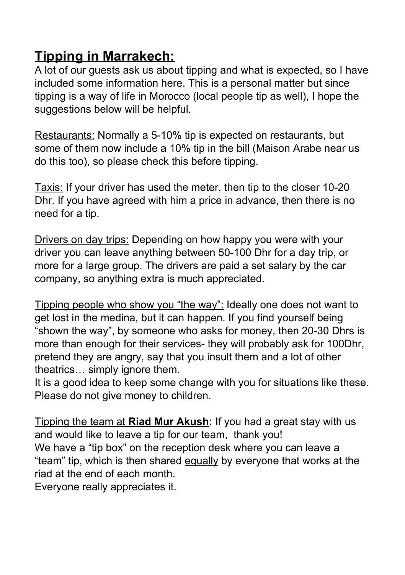## **Tipping in Marrakech:**

A lot of our guests ask us about tipping and what is expected, so I have included some information here. This is a personal matter but since tipping is a way of life in Morocco (local people tip as well), I hope the suggestions below will be helpful.

Restaurants: Normally a 5-10% tip is expected on restaurants, but some of them now include a 10% tip in the bill (Maison Arabe near us do this too), so please check this before tipping.

Taxis: If your driver has used the meter, then tip to the closer 10-20 Dhr. If you have agreed with him a price in advance, then there is no need for a tip.

Drivers on day trips: Depending on how happy you were with your driver you can leave anything between 50-100 Dhr for a day trip, or more for a large group. The drivers are paid a set salary by the car company, so anything extra is much appreciated.

Tipping people who show you "the way": Ideally one does not want to get lost in the medina, but it can happen. If you find yourself being "shown the way", by someone who asks for money, then 20-30 Dhrs is more than enough for their services- they will probably ask for 100Dhr, pretend they are angry, say that you insult them and a lot of other theatrics… simply ignore them.

It is a good idea to keep some change with you for situations like these. Please do not give money to children.

Tipping the team at **Riad Mur Akush:** If you had a great stay with us and would like to leave a tip for our team, thank you! We have a "tip box" on the reception desk where you can leave a "team" tip, which is then shared equally by everyone that works at the riad at the end of each month.

Everyone really appreciates it.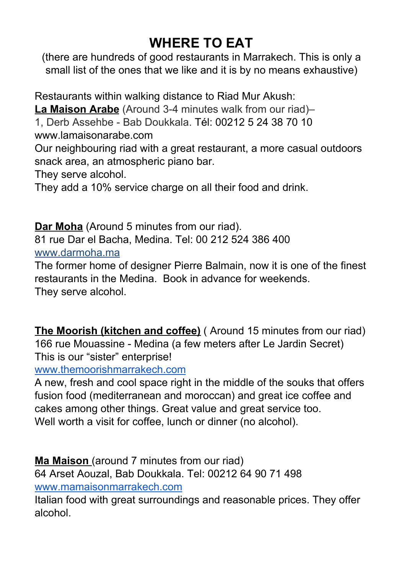# **WHERE TO EAT**

(there are hundreds of good restaurants in Marrakech. This is only a small list of the ones that we like and it is by no means exhaustive)

Restaurants within walking distance to Riad Mur Akush: **La Maison Arabe** (Around 3-4 minutes walk from our riad)– 1, Derb Assehbe - Bab Doukkala. Tél: 00212 5 24 38 70 10

www.lamaisonarabe.com

Our neighbouring riad with a great restaurant, a more casual outdoors snack area, an atmospheric piano bar.

They serve alcohol.

They add a 10% service charge on all their food and drink.

**Dar Moha** (Around 5 minutes from our riad).

81 rue Dar el Bacha, Medina. Tel: 00 212 524 386 400

www.darmoha.ma

The former home of designer Pierre Balmain, now it is one of the finest restaurants in the Medina. Book in advance for weekends. They serve alcohol.

**The Moorish (kitchen and coffee)** ( Around 15 minutes from our riad) 166 rue Mouassine - Medina (a few meters after Le Jardin Secret) This is our "sister" enterprise!

[www.themoorishmarrakech.com](http://www.themoorishmarrakech.com/)

A new, fresh and cool space right in the middle of the souks that offers fusion food (mediterranean and moroccan) and great ice coffee and cakes among other things. Great value and great service too. Well worth a visit for coffee, lunch or dinner (no alcohol).

**Ma Maison** (around 7 minutes from our riad) 64 Arset Aouzal, Bab Doukkala. Tel: 00212 64 90 71 498 [www.mamaisonmarrakech.com](http://www.mamaisonmarrakech.com/)

Italian food with great surroundings and reasonable prices. They offer alcohol.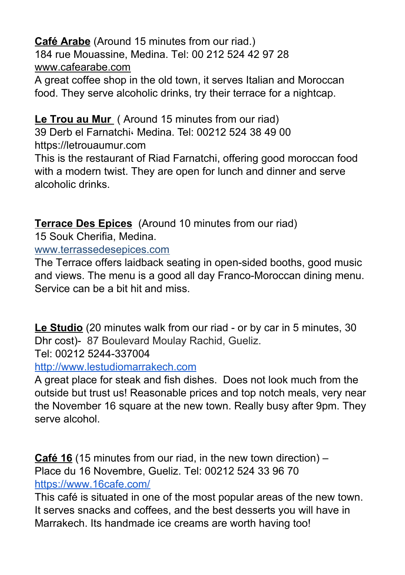**Café Arabe** (Around 15 minutes from our riad.) 184 rue Mouassine, Medina. Tel: 00 212 524 42 97 28 www.cafearabe.com

A great coffee shop in the old town, it serves Italian and Moroccan food. They serve alcoholic drinks, try their terrace for a nightcap.

### **Le Trou au Mur** ( Around 15 minutes from our riad)

39 Derb el Farnatchi، Medina. Tel: 00212 524 38 49 00 [https://letrouaumur.com](https://letrouaumur.com/)

This is the restaurant of Riad Farnatchi, offering good moroccan food with a modern twist. They are open for lunch and dinner and serve alcoholic drinks.

**Terrace Des Epices** (Around 10 minutes from our riad)

15 Souk Cherifia, Medina.

www.terrassedesepices.com

The Terrace offers laidback seating in open-sided booths, good music and views. The menu is a good all day Franco-Moroccan dining menu. Service can be a bit hit and miss.

**Le Studio** (20 minutes walk from our riad - or by car in 5 minutes, 30 Dhr cost)- 87 Boulevard Moulay Rachid, Gueliz.

Tel: 00212 [5244-337004](https://www.google.com/search?q=les%20studio%20marrakech&rlz=1CATTSD_enGB778GB779&oq=les+studio+marrakech&aqs=chrome..69i57j0l5.5065j0j7&sourceid=chrome&ie=UTF-8&npsic=0&rflfq=1&rlha=0&rllag=31654989,-8017859,2583&tbm=lcl&rldimm=17012827727416297192&ved=2ahUKEwiTi6OI38rgAhVTtHEKHdbZBRwQvS4wAHoECAAQJw&rldoc=1&tbs=lrf:!2m1!1e2!2m1!1e3!2m1!1e16!3sIAE,lf:1,lf_ui:2#)

[http://www.lestudiomarrakech.com](http://www.lestudiomarrakech.com/)

A great place for steak and fish dishes. Does not look much from the outside but trust us! Reasonable prices and top notch meals, very near the November 16 square at the new town. Really busy after 9pm. They serve alcohol.

**Café 16** (15 minutes from our riad, in the new town direction) – Place du 16 Novembre, Gueliz. Tel: 00212 524 33 96 70 <https://www.16cafe.com/>

This café is situated in one of the most popular areas of the new town. It serves snacks and coffees, and the best desserts you will have in Marrakech. Its handmade ice creams are worth having too!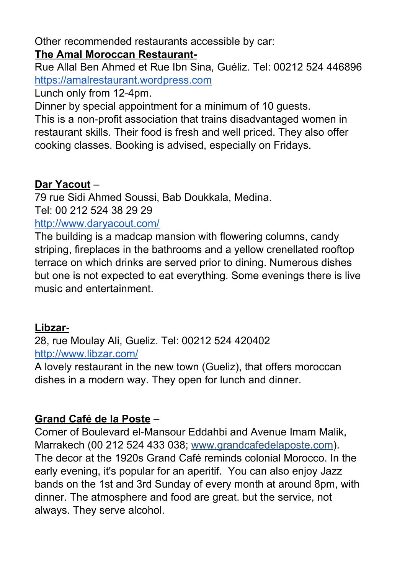Other recommended restaurants accessible by car:

#### **The Amal Moroccan Restaurant-**

Rue Allal Ben Ahmed et Rue Ibn Sina, Guéliz. Tel: 00212 524 446896 [https://amalrestaurant.wordpress.com](https://amalrestaurant.wordpress.com/)

Lunch only from 12-4pm.

Dinner by special appointment for a minimum of 10 guests.

This is a non-profit association that trains disadvantaged women in restaurant skills. Their food is fresh and well priced. They also offer cooking classes. Booking is advised, especially on Fridays.

### **Dar Yacout** –

79 rue Sidi Ahmed Soussi, Bab Doukkala, Medina. Tel: 00 212 524 38 29 29

<http://www.daryacout.com/>

The building is a madcap mansion with flowering columns, candy striping, fireplaces in the bathrooms and a yellow crenellated rooftop terrace on which drinks are served prior to dining. Numerous dishes but one is not expected to eat everything. Some evenings there is live music and entertainment.

## **Libzar-**

28, rue Moulay Ali, Gueliz. Tel: 00212 524 420402 <http://www.libzar.com/>

A lovely restaurant in the new town (Gueliz), that offers moroccan dishes in a modern way. They open for lunch and dinner.

## **Grand Café de la Poste** –

Corner of Boulevard el-Mansour Eddahbi and Avenue Imam Malik, Marrakech (00 212 524 433 038; www.grandcafedelaposte.com). The decor at the 1920s Grand Café reminds colonial Morocco. In the early evening, it's popular for an aperitif. You can also enjoy Jazz bands on the 1st and 3rd Sunday of every month at around 8pm, with dinner. The atmosphere and food are great. but the service, not always. They serve alcohol.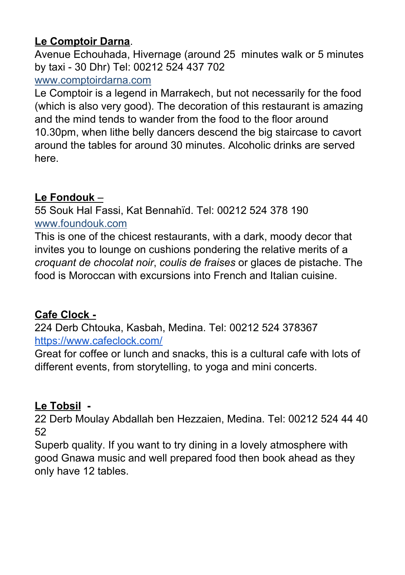## **Le Comptoir Darna**.

Avenue Echouhada, Hivernage (around 25 minutes walk or 5 minutes by taxi - 30 Dhr) Tel: 00212 524 437 702

#### www.comptoirdarna.com

Le Comptoir is a legend in Marrakech, but not necessarily for the food (which is also very good). The decoration of this restaurant is amazing and the mind tends to wander from the food to the floor around 10.30pm, when lithe belly dancers descend the big staircase to cavort around the tables for around 30 minutes. Alcoholic drinks are served here.

## **Le Fondouk** –

55 Souk Hal Fassi, Kat Bennahïd. Tel: 00212 524 378 190 www.foundouk.com

This is one of the chicest restaurants, with a dark, moody decor that invites you to lounge on cushions pondering the relative merits of a *croquant de chocolat noir*, *coulis de fraises* or glaces de pistache. The food is Moroccan with excursions into French and Italian cuisine.

## **Cafe Clock -**

224 Derb Chtouka, Kasbah, Medina. Tel: 00212 524 378367 <https://www.cafeclock.com/>

Great for coffee or lunch and snacks, this is a cultural cafe with lots of different events, from storytelling, to yoga and mini concerts.

## **Le Tobsil -**

22 Derb Moulay Abdallah ben Hezzaien, Medina. Tel: 00212 524 44 40 52

Superb quality. If you want to try dining in a lovely atmosphere with good Gnawa music and well prepared food then book ahead as they only have 12 tables.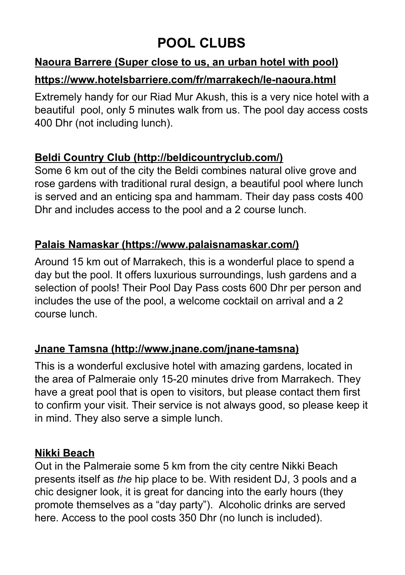## **POOL CLUBS**

## **Naoura Barrere (Super close to us, an urban hotel with pool)**

#### **<https://www.hotelsbarriere.com/fr/marrakech/le-naoura.html>**

Extremely handy for our Riad Mur Akush, this is a very nice hotel with a beautiful pool, only 5 minutes walk from us. The pool day access costs 400 Dhr (not including lunch).

#### **Beldi Country Club (http://beldicountryclub.com/)**

Some 6 km out of the city the Beldi combines natural olive grove and rose gardens with traditional rural design, a beautiful pool where lunch is served and an enticing spa and hammam. Their day pass costs 400 Dhr and includes access to the pool and a 2 course lunch.

#### **Palais Namaskar [\(https://www.palaisnamaskar.com/\)](https://www.palaisnamaskar.com/)**

Around 15 km out of Marrakech, this is a wonderful place to spend a day but the pool. It offers luxurious surroundings, lush gardens and a selection of pools! Their Pool Day Pass costs 600 Dhr per person and includes the use of the pool, a welcome cocktail on arrival and a 2 course lunch.

#### **Jnane Tamsna (http://www.jnane.com/jnane-tamsna)**

This is a wonderful exclusive hotel with amazing gardens, located in the area of Palmeraie only 15-20 minutes drive from Marrakech. They have a great pool that is open to visitors, but please contact them first to confirm your visit. Their service is not always good, so please keep it in mind. They also serve a simple lunch.

#### **Nikki Beach**

Out in the Palmeraie some 5 km from the city centre Nikki Beach presents itself as *the* hip place to be. With resident DJ, 3 pools and a chic designer look, it is great for dancing into the early hours (they promote themselves as a "day party"). Alcoholic drinks are served here. Access to the pool costs 350 Dhr (no lunch is included).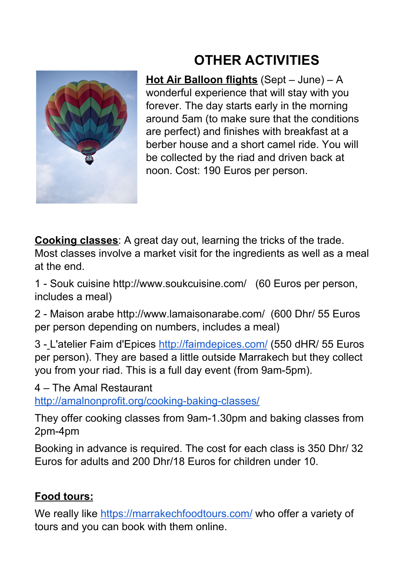# **OTHER ACTIVITIES**



**Hot Air Balloon flights** (Sept – June) – A wonderful experience that will stay with you forever. The day starts early in the morning around 5am (to make sure that the conditions are perfect) and finishes with breakfast at a berber house and a short camel ride. You will be collected by the riad and driven back at noon. Cost: 190 Euros per person.

**Cooking classes**: A great day out, learning the tricks of the trade. Most classes involve a market visit for the ingredients as well as a meal

at the end.

1 - Souk cuisine <http://www.soukcuisine.com/> (60 Euros per person, includes a meal)

2 - Maison arabe <http://www.lamaisonarabe.com/> (600 Dhr/ 55 Euros per person depending on numbers, includes a meal)

3 - L'atelier Faim [d'Epices](http://www.tripadvisor.co.uk/Attraction_Review-g293734-d1985394-Reviews-L_atelier_Faim_d_Epices-Marrakech_Marrakech_Tensift_El_Haouz_Region.html) <http://faimdepices.com/> (550 dHR/ 55 Euros per person). They are based a little outside Marrakech but they collect you from your riad. This is a full day event (from 9am-5pm).

4 – The Amal Restaurant

<http://amalnonprofit.org/cooking-baking-classes/>

They offer cooking classes from 9am-1.30pm and baking classes from 2pm-4pm

Booking in advance is required. The cost for each class is 350 Dhr/ 32 Euros for adults and 200 Dhr/18 Euros for children under 10.

## **Food tours:**

We really like <https://marrakechfoodtours.com/> who offer a variety of tours and you can book with them online.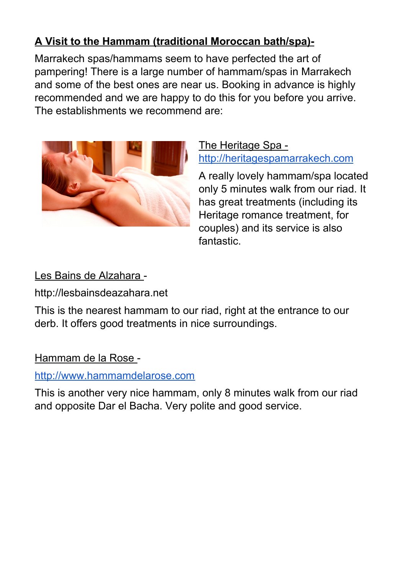## **A Visit to the Hammam (traditional Moroccan bath/spa)-**

Marrakech spas/hammams seem to have perfected the art of pampering! There is a large number of hammam/spas in Marrakech and some of the best ones are near us. Booking in advance is highly recommended and we are happy to do this for you before you arrive. The establishments we recommend are:



The Heritage Spa [http://heritagespamarrakech.com](http://heritagespamarrakech.com/en/index.html)

A really lovely hammam/spa located only 5 minutes walk from our riad. It has great treatments (including its Heritage romance treatment, for couples) and its service is also fantastic.

## Les Bains de Alzahara -

http://lesbainsdeazahara.net

This is the nearest hammam to our riad, right at the entrance to our derb. It offers good treatments in nice surroundings.

Hammam de la Rose -

## [http://www.hammamdelarose.com](https://www.hammamdelarose.com/fr/)

This is another very nice hammam, only 8 minutes walk from our riad and opposite Dar el Bacha. Very polite and good service.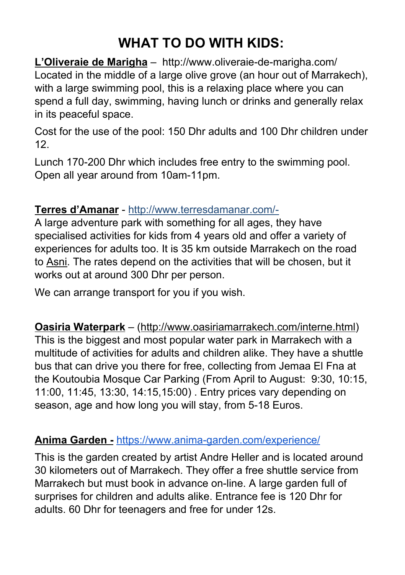# **WHAT TO DO WITH KIDS:**

**L'Oliveraie de Marigha** – http://www.oliveraie-de-marigha.com/ Located in the middle of a large olive grove (an hour out of Marrakech), with a large swimming pool, this is a relaxing place where you can spend a full day, swimming, having lunch or drinks and generally relax in its peaceful space.

Cost for the use of the pool: 150 Dhr adults and 100 Dhr children under 12.

Lunch 170-200 Dhr which includes free entry to the swimming pool. Open all year around from 10am-11pm.

#### **Terres d'Amanar** - <http://www.terresdamanar.com/->

A large adventure park with something for all ages, they have specialised activities for kids from 4 years old and offer a variety of experiences for adults too. It is 35 km outside Marrakech on the road to Asni. The rates depend on the activities that will be chosen, but it works out at around 300 Dhr per person.

We can arrange transport for you if you wish.

**Oasiria Waterpark** – ([http://www.oasiriamarrakech.com/interne.html\)](http://www.oasiriamarrakech.com/interne.html) This is the biggest and most popular water park in Marrakech with a multitude of activities for adults and children alike. They have a shuttle bus that can drive you there for free, collecting from Jemaa El Fna at the Koutoubia Mosque Car Parking (From April to August: 9:30, 10:15, 11:00, 11:45, 13:30, 14:15,15:00) . Entry prices vary depending on season, age and how long you will stay, from 5-18 Euros.

#### **Anima Garden -** <https://www.anima-garden.com/experience/>

This is the garden created by artist Andre Heller and is located around 30 kilometers out of Marrakech. They offer a free shuttle service from Marrakech but must book in advance on-line. A large garden full of surprises for children and adults alike. Entrance fee is 120 Dhr for adults. 60 Dhr for teenagers and free for under 12s.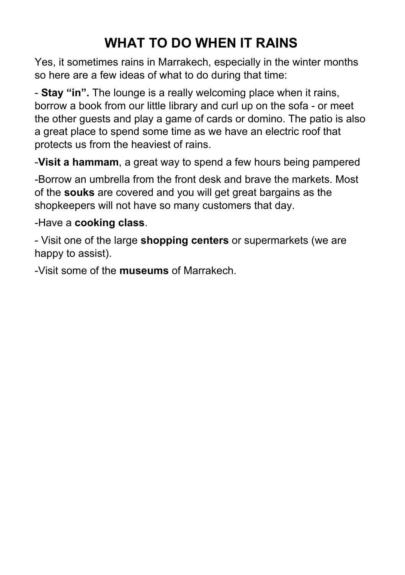# **WHAT TO DO WHEN IT RAINS**

Yes, it sometimes rains in Marrakech, especially in the winter months so here are a few ideas of what to do during that time:

- **Stay "in".** The lounge is a really welcoming place when it rains, borrow a book from our little library and curl up on the sofa - or meet the other guests and play a game of cards or domino. The patio is also a great place to spend some time as we have an electric roof that protects us from the heaviest of rains.

-**Visit a hammam**, a great way to spend a few hours being pampered

-Borrow an umbrella from the front desk and brave the markets. Most of the **souks** are covered and you will get great bargains as the shopkeepers will not have so many customers that day.

#### -Have a **cooking class**.

- Visit one of the large **shopping centers** or supermarkets (we are happy to assist).

-Visit some of the **museums** of Marrakech.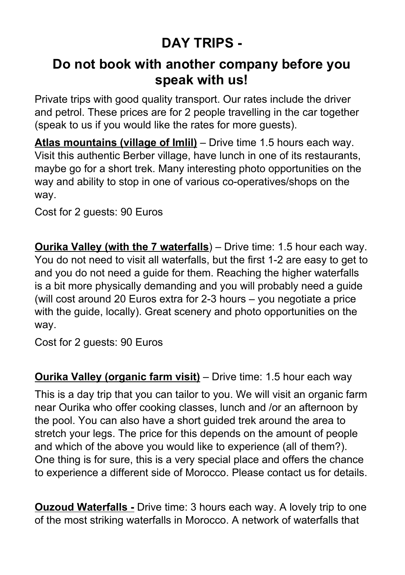# **DAY TRIPS -**

## **Do not book with another company before you speak with us!**

Private trips with good quality transport. Our rates include the driver and petrol. These prices are for 2 people travelling in the car together (speak to us if you would like the rates for more guests).

**Atlas mountains (village of Imlil)** – Drive time 1.5 hours each way. Visit this authentic Berber village, have lunch in one of its restaurants, maybe go for a short trek. Many interesting photo opportunities on the way and ability to stop in one of various co-operatives/shops on the way.

Cost for 2 guests: 90 Euros

**Ourika Valley (with the 7 waterfalls**) – Drive time: 1.5 hour each way. You do not need to visit all waterfalls, but the first 1-2 are easy to get to and you do not need a guide for them. Reaching the higher waterfalls is a bit more physically demanding and you will probably need a guide (will cost around 20 Euros extra for 2-3 hours – you negotiate a price with the guide, locally). Great scenery and photo opportunities on the way.

Cost for 2 guests: 90 Euros

**Ourika Valley (organic farm visit)** – Drive time: 1.5 hour each way

This is a day trip that you can tailor to you. We will visit an organic farm near Ourika who offer cooking classes, lunch and /or an afternoon by the pool. You can also have a short guided trek around the area to stretch your legs. The price for this depends on the amount of people and which of the above you would like to experience (all of them?). One thing is for sure, this is a very special place and offers the chance to experience a different side of Morocco. Please contact us for details.

**Ouzoud Waterfalls -** Drive time: 3 hours each way. A lovely trip to one of the most striking waterfalls in Morocco. A network of waterfalls that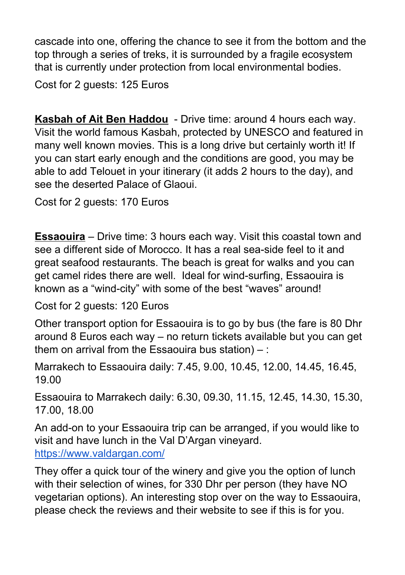cascade into one, offering the chance to see it from the bottom and the top through a series of treks, it is surrounded by a fragile ecosystem that is currently under protection from local environmental bodies.

Cost for 2 guests: 125 Euros

**Kasbah of Ait Ben Haddou** - Drive time: around 4 hours each way. Visit the world famous Kasbah, protected by UNESCO and featured in many well known movies. This is a long drive but certainly worth it! If you can start early enough and the conditions are good, you may be able to add Telouet in your itinerary (it adds 2 hours to the day), and see the deserted Palace of Glaoui.

Cost for 2 guests: 170 Euros

**Essaouira** – Drive time: 3 hours each way. Visit this coastal town and see a different side of Morocco. It has a real sea-side feel to it and great seafood restaurants. The beach is great for walks and you can get camel rides there are well. Ideal for wind-surfing, Essaouira is known as a "wind-city" with some of the best "waves" around!

Cost for 2 guests: 120 Euros

Other transport option for Essaouira is to go by bus (the fare is 80 Dhr around 8 Euros each way – no return tickets available but you can get them on arrival from the Essaouira bus station)  $-$ :

Marrakech to Essaouira daily: 7.45, 9.00, 10.45, 12.00, 14.45, 16.45, 19.00

Essaouira to Marrakech daily: 6.30, 09.30, 11.15, 12.45, 14.30, 15.30, 17.00, 18.00

An add-on to your Essaouira trip can be arranged, if you would like to visit and have lunch in the Val D'Argan vineyard. <https://www.valdargan.com/>

They offer a quick tour of the winery and give you the option of lunch with their selection of wines, for 330 Dhr per person (they have NO vegetarian options). An interesting stop over on the way to Essaouira, please check the reviews and their website to see if this is for you.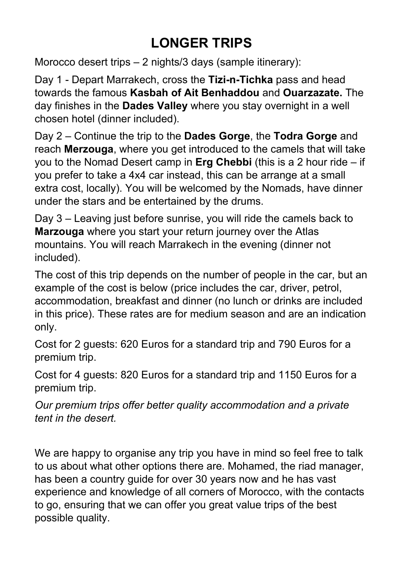# **LONGER TRIPS**

Morocco desert trips – 2 nights/3 days (sample itinerary):

Day 1 - Depart Marrakech, cross the **Tizi-n-Tichka** pass and head towards the famous **Kasbah of Ait Benhaddou** and **Ouarzazate.** The day finishes in the **Dades Valley** where you stay overnight in a well chosen hotel (dinner included).

Day 2 – Continue the trip to the **Dades Gorge**, the **Todra Gorge** and reach **Merzouga**, where you get introduced to the camels that will take you to the Nomad Desert camp in **Erg Chebbi** (this is a 2 hour ride – if you prefer to take a 4x4 car instead, this can be arrange at a small extra cost, locally). You will be welcomed by the Nomads, have dinner under the stars and be entertained by the drums.

Day 3 – Leaving just before sunrise, you will ride the camels back to **Marzouga** where you start your return journey over the Atlas mountains. You will reach Marrakech in the evening (dinner not included).

The cost of this trip depends on the number of people in the car, but an example of the cost is below (price includes the car, driver, petrol, accommodation, breakfast and dinner (no lunch or drinks are included in this price). These rates are for medium season and are an indication only.

Cost for 2 guests: 620 Euros for a standard trip and 790 Euros for a premium trip.

Cost for 4 guests: 820 Euros for a standard trip and 1150 Euros for a premium trip.

*Our premium trips offer better quality accommodation and a private tent in the desert.*

We are happy to organise any trip you have in mind so feel free to talk to us about what other options there are. Mohamed, the riad manager, has been a country guide for over 30 years now and he has vast experience and knowledge of all corners of Morocco, with the contacts to go, ensuring that we can offer you great value trips of the best possible quality.